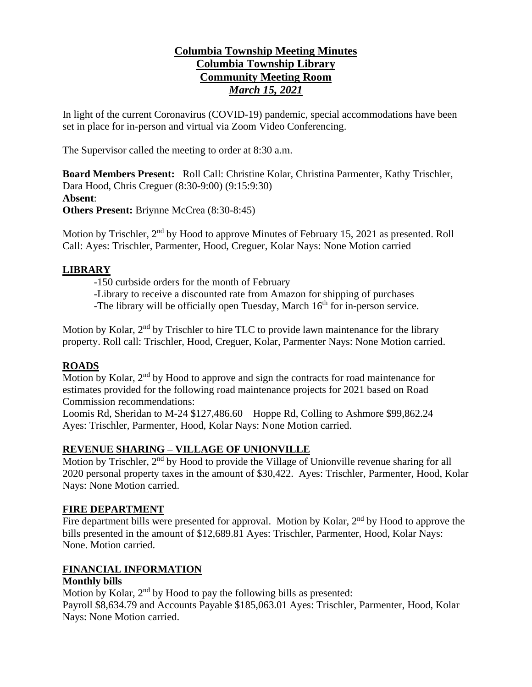# **Columbia Township Meeting Minutes Columbia Township Library Community Meeting Room** *March 15, 2021*

In light of the current Coronavirus (COVID-19) pandemic, special accommodations have been set in place for in-person and virtual via Zoom Video Conferencing.

The Supervisor called the meeting to order at 8:30 a.m.

**Board Members Present:** Roll Call: Christine Kolar, Christina Parmenter, Kathy Trischler, Dara Hood, Chris Creguer (8:30-9:00) (9:15:9:30) **Absent**: **Others Present:** Briynne McCrea (8:30-8:45)

Motion by Trischler, 2<sup>nd</sup> by Hood to approve Minutes of February 15, 2021 as presented. Roll Call: Ayes: Trischler, Parmenter, Hood, Creguer, Kolar Nays: None Motion carried

## **LIBRARY**

-150 curbside orders for the month of February

-Library to receive a discounted rate from Amazon for shipping of purchases

-The library will be officially open Tuesday, March  $16<sup>th</sup>$  for in-person service.

Motion by Kolar, 2<sup>nd</sup> by Trischler to hire TLC to provide lawn maintenance for the library property. Roll call: Trischler, Hood, Creguer, Kolar, Parmenter Nays: None Motion carried.

# **ROADS**

Motion by Kolar, 2<sup>nd</sup> by Hood to approve and sign the contracts for road maintenance for estimates provided for the following road maintenance projects for 2021 based on Road Commission recommendations:

Loomis Rd, Sheridan to M-24 \$127,486.60 Hoppe Rd, Colling to Ashmore \$99,862.24 Ayes: Trischler, Parmenter, Hood, Kolar Nays: None Motion carried.

## **REVENUE SHARING – VILLAGE OF UNIONVILLE**

Motion by Trischler, 2<sup>nd</sup> by Hood to provide the Village of Unionville revenue sharing for all 2020 personal property taxes in the amount of \$30,422. Ayes: Trischler, Parmenter, Hood, Kolar Nays: None Motion carried.

## **FIRE DEPARTMENT**

Fire department bills were presented for approval. Motion by Kolar,  $2<sup>nd</sup>$  by Hood to approve the bills presented in the amount of \$12,689.81 Ayes: Trischler, Parmenter, Hood, Kolar Nays: None. Motion carried.

# **FINANCIAL INFORMATION**

## **Monthly bills**

Motion by Kolar,  $2<sup>nd</sup>$  by Hood to pay the following bills as presented: Payroll \$8,634.79 and Accounts Payable \$185,063.01 Ayes: Trischler, Parmenter, Hood, Kolar Nays: None Motion carried.